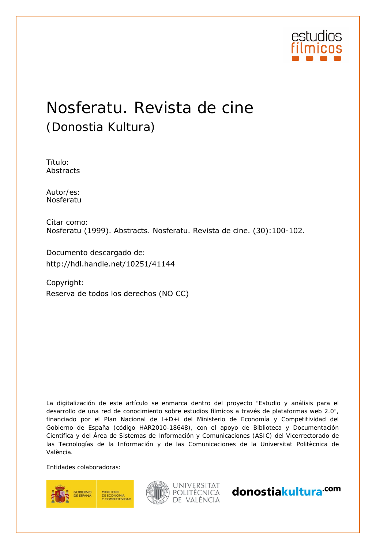

# Nosferatu. Revista de cine (Donostia Kultura)

Título: Abstracts

Autor/es:<br>Nosferatu

Citar como: Nosferatu (1999). Abstracts. Nosferatu. Revista de cine. (30):100-102.

Documento descargado de:

Copyright: http://hdl.handle.net/10251/41144<br>Copyright:<br>Reserva de todos los derechos (NO CC)

La digitalización de este artículo se enmarca dentro del proyecto "Estudio y análisis para el desarrollo de una red de conocimiento sobre estudios fílmicos a través de plataformas web 2.0", financiado por el Plan Nacional de I+D+i del Ministerio de Economía y Competitividad del Gobierno de España (código HAR2010-18648), con el apoyo de Biblioteca y Documentación Científica y del Área de Sistemas de Información y Comunicaciones (ASIC) del Vicerrectorado de las Tecnologías de la Información y de las Comunicaciones de la Universitat Politècnica de València.

Entidades colaboradoras:





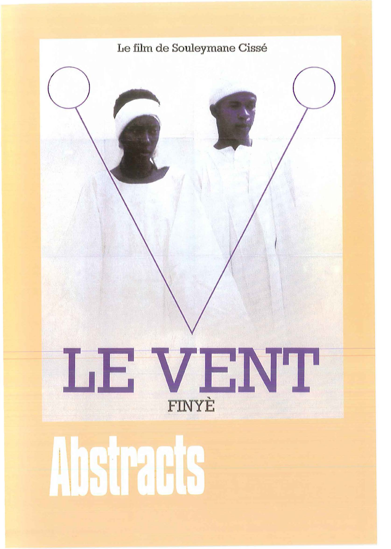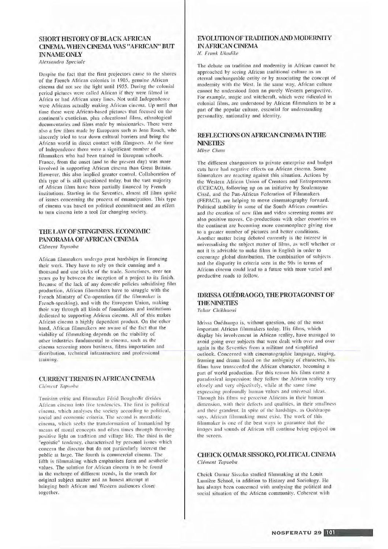### **SHORT HISTORY OF BLACK AFRICAN** CINEMA, WHEN CINEMA WAS "AFRICAN" BUT **IN NAME ONLY**

Alessandra Speciale

Despite the fact that the first projectors came to the shores of the French African colonies in 1905, genuine African cinema did not see the light until 1955. During the colonial period pictures were called African if they were filmed in Africa or had African story lines. Not until Independence were Africans actually making African cinema. Up until that time there were African-based pictures that focused on the continent's exoticism, plus educational films, ethnological documentaries and films made by missionaries. There were also a few films made by Europeans such as Jean Rouch, who sincerely tried to tear down cultural barriers and bring the African world in direct contact with filmgoers. At the time of Independence there were a significant number of filmmakers who had been trained in European schools. France, from the onset (and to the present day) was more involved in supporting African cinema than Great Britain. However, this also implied greater control. Collaboration of this type of is still questioned today, but the vast majority of African films have been partially financed by French institutions. Starting in the Seventies, almost all films spoke of issues concerning the process of emancipation. This type of cinema was based on political commitment and an effort to turn cinema into a tool for changing society.

# THE LAW OF STINGINESS. ECONOMIC PANORAMA OF AFRICAN CINEMA

Clément Tapsoba

African filmmakers undergo great hardships in financing their work. They have to rely on their cunning and a thousand and one tricks of the trade. Sometimes, over ten years go by between the inception of a project to its finish. Because of the lack of any domestic policies subsidising film production, African filmmakers have to struggle with the French Ministry of Co-operation (if the filmmaker is French-speaking), and with the European Union, making their way through all kinds of foundations and institutions dedicated to supporting African cinema. All of this makes African cinema a highly dependent product. On the other hand, African filmmakers are aware of the fact that the viability of filmmaking depends on the viability of other industries fundamental to cinema, such as the cinema screening room business, films importation and distribution, technical infrastructure and professional training.

### CURRENT TRENDS IN AFRICAN CINEMA

Clément Tapsoba

Tunisian critic and filmmaker Férid Boughedir divides African cinema into five tendencies. The first is political cinema, which analyses the society according to political, social and economic criteria. The second is moralistic cinema, which seeks the transformation of humankind by means of moral concepts and often times through throwing positive light on tradition and village life. The third is the "egoistic" tendency, characterised by personal issues which concern the director but do not particularly interest the public at large. The fourth is commercial cinema. The fifth is filmmaking which emphasises form and aesthetic values. The solution for African cinema is to be found in the melange of different trends, in the search for original subject matter and an honest attempt at bringing both African and Western audiences closer together.

## EVOLUTION OF TRADITION AND MODERNITY **IN AFRICAN CINEMA**

N. Frank Ukadike

The debate on tradition and modernity in African cannot be approached by seeing African traditional culture as an eternal unchangeable entity or by associating the concept of modernity with the West. In the same way, African culture cannot be understood from an purely Western perspective. For example, magic and witchcraft, which were ridiculed in colonial films, are understood by African filmmakers to be a part of the popular culture, essential for understanding personality, nationality and identity.

## REFLECTIONS ON AFRICAN CINEMA IN THE **NINETIES**

Mbye Cham

The different changeovers to private enterprise and budget cuts have had negative effects on African cinema. Some filmmakers are reacting against this situation. Actions by the Western African Union of Creators and Entrepreneurs (UCECAO), following up on an initiative by Soulemayne Cissé, and the Pan-African Federation of Filmmakers (FEPACI), are helping to move cinematography forward. Political stability in some of the South African countries and the creation of new film and video screening rooms are also positive moves. Co-productions with other countries on the continent are becoming more commonplace giving rise to a greater number of pictures and better conditions. Another matter being debated currently is the interest in universalising the subject matter of films, as well whether or not it is advisable to make films in English in order to encourage global distribution. The combination of subjects and the disparity in criteria seen in the 90s in terms of African cinema could lead to a future with more varied and productive roads to follow.

# IDRISSA OUÉDRAOGO, THE PROTAGONIST OF **THE NINETIES**

Tahar Chikhaoui

Idrissa Ouédraogo is, without question, one of the most important African filmmakers today. His films, which display his involvement in African reality, have managed to avoid going over subjects that were dealt with over and over again in the Seventies from a militant and simplified outlook. Concerned with cinematographic language, staging, framing and drama based on the ambiguity of characters, his films have transcended the African character, becoming a part of world production. For this reason his films cause a paradoxical impression: they follow the African reality very closely and very objectively, while at the same time expressing profoundly human values and universal ideas. Through his films we perceive Africans in their human dimension, with their defects and qualities, in their smallness and their grandeur. In spite of the hardships, as Ouédraogo says, African filmmaking must exist. The work of this filmmaker is one of the best ways to guarantee that the images and sounds of African will continue being enjoyed on the screen.

#### CHEICK OUMAR SISSOKO, POLITICAL CINEMA Clément Tapsoba

Cheick Oumar Sissoko studied filmmaking at the Louis Lumière School, in addition to History and Sociology. He has always been concerned with analysing the political and social situation of the African community. Coherent with